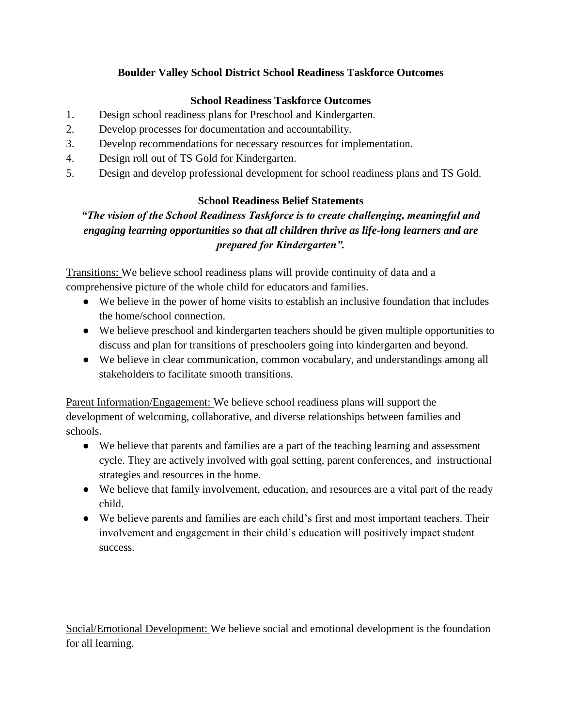## **Boulder Valley School District School Readiness Taskforce Outcomes**

## **School Readiness Taskforce Outcomes**

- 1. Design school readiness plans for Preschool and Kindergarten.
- 2. Develop processes for documentation and accountability.
- 3. Develop recommendations for necessary resources for implementation.
- 4. Design roll out of TS Gold for Kindergarten.
- 5. Design and develop professional development for school readiness plans and TS Gold.

## **School Readiness Belief Statements**

## *"The vision of the School Readiness Taskforce is to create challenging, meaningful and engaging learning opportunities so that all children thrive as life-long learners and are prepared for Kindergarten".*

Transitions: We believe school readiness plans will provide continuity of data and a comprehensive picture of the whole child for educators and families.

- We believe in the power of home visits to establish an inclusive foundation that includes the home/school connection.
- We believe preschool and kindergarten teachers should be given multiple opportunities to discuss and plan for transitions of preschoolers going into kindergarten and beyond.
- We believe in clear communication, common vocabulary, and understandings among all stakeholders to facilitate smooth transitions.

Parent Information/Engagement: We believe school readiness plans will support the development of welcoming, collaborative, and diverse relationships between families and schools.

- We believe that parents and families are a part of the teaching learning and assessment cycle. They are actively involved with goal setting, parent conferences, and instructional strategies and resources in the home.
- We believe that family involvement, education, and resources are a vital part of the ready child.
- We believe parents and families are each child's first and most important teachers. Their involvement and engagement in their child's education will positively impact student success.

Social/Emotional Development: We believe social and emotional development is the foundation for all learning.